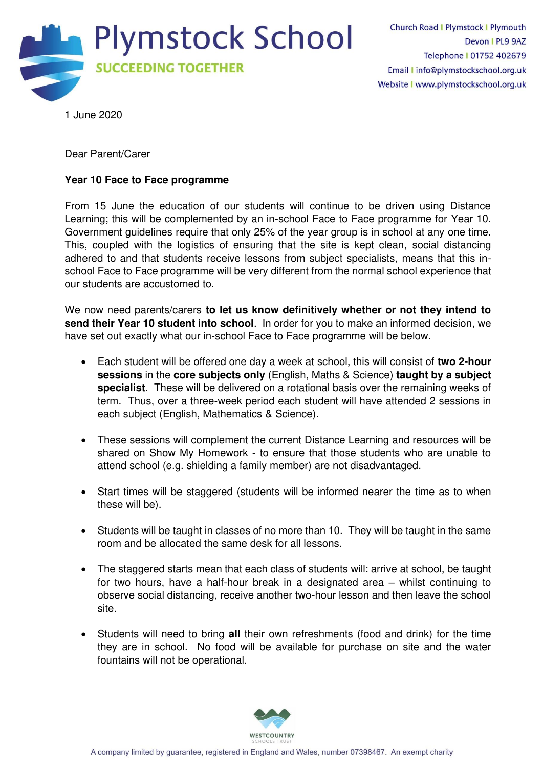

1 June 2020

Dear Parent/Carer

## **Year 10 Face to Face programme**

From 15 June the education of our students will continue to be driven using Distance Learning; this will be complemented by an in-school Face to Face programme for Year 10. Government guidelines require that only 25% of the year group is in school at any one time. This, coupled with the logistics of ensuring that the site is kept clean, social distancing adhered to and that students receive lessons from subject specialists, means that this inschool Face to Face programme will be very different from the normal school experience that our students are accustomed to.

We now need parents/carers **to let us know definitively whether or not they intend to send their Year 10 student into school**. In order for you to make an informed decision, we have set out exactly what our in-school Face to Face programme will be below.

- Each student will be offered one day a week at school, this will consist of **two 2-hour sessions** in the **core subjects only** (English, Maths & Science) **taught by a subject specialist**. These will be delivered on a rotational basis over the remaining weeks of term. Thus, over a three-week period each student will have attended 2 sessions in each subject (English, Mathematics & Science).
- These sessions will complement the current Distance Learning and resources will be shared on Show My Homework - to ensure that those students who are unable to attend school (e.g. shielding a family member) are not disadvantaged.
- Start times will be staggered (students will be informed nearer the time as to when these will be).
- Students will be taught in classes of no more than 10. They will be taught in the same room and be allocated the same desk for all lessons.
- The staggered starts mean that each class of students will: arrive at school, be taught for two hours, have a half-hour break in a designated area – whilst continuing to observe social distancing, receive another two-hour lesson and then leave the school site.
- Students will need to bring **all** their own refreshments (food and drink) for the time they are in school. No food will be available for purchase on site and the water fountains will not be operational.